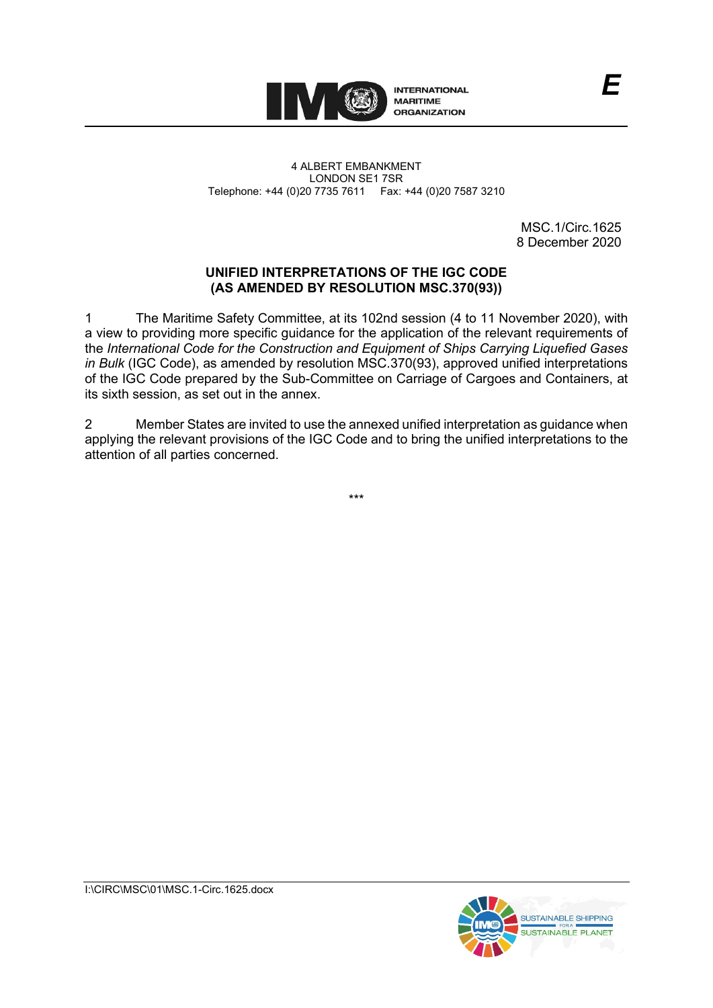

4 ALBERT EMBANKMENT LONDON SE1 7SR Telephone: +44 (0)20 7735 7611 Fax: +44 (0)20 7587 3210

> MSC.1/Circ.1625 8 December 2020

*E*

# **UNIFIED INTERPRETATIONS OF THE IGC CODE (AS AMENDED BY RESOLUTION MSC.370(93))**

1 The Maritime Safety Committee, at its 102nd session (4 to 11 November 2020), with a view to providing more specific guidance for the application of the relevant requirements of the *International Code for the Construction and Equipment of Ships Carrying Liquefied Gases in Bulk* (IGC Code), as amended by resolution MSC.370(93), approved unified interpretations of the IGC Code prepared by the Sub-Committee on Carriage of Cargoes and Containers, at its sixth session, as set out in the annex.

2 Member States are invited to use the annexed unified interpretation as guidance when applying the relevant provisions of the IGC Code and to bring the unified interpretations to the attention of all parties concerned.

\*\*\*

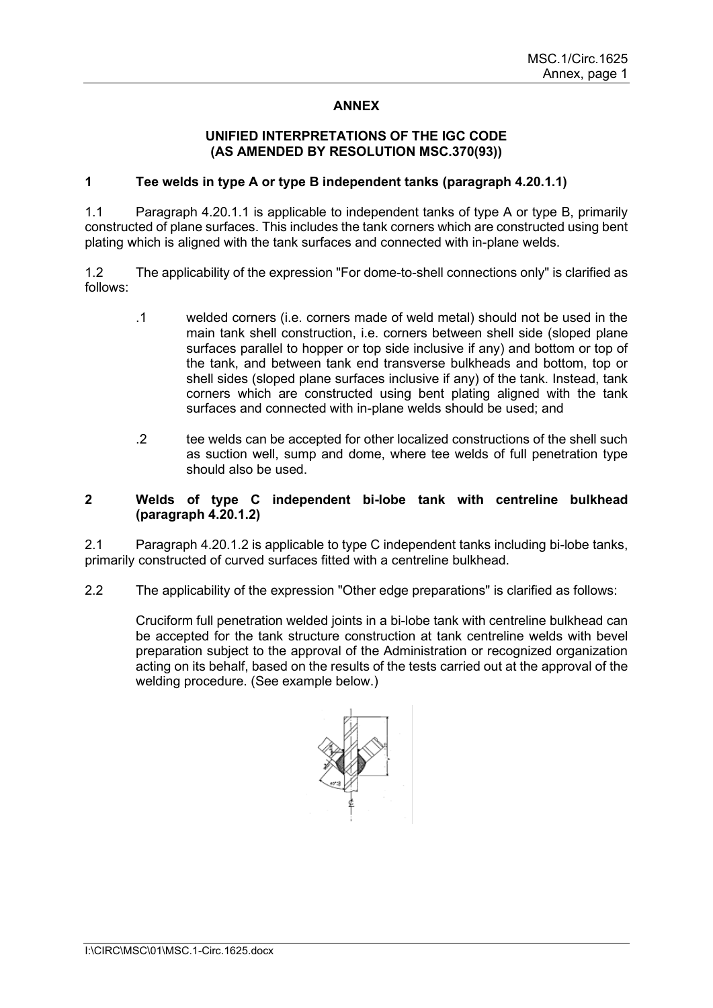# **ANNEX**

#### **UNIFIED INTERPRETATIONS OF THE IGC CODE (AS AMENDED BY RESOLUTION MSC.370(93))**

## **1 Tee welds in type A or type B independent tanks (paragraph 4.20.1.1)**

1.1 Paragraph 4.20.1.1 is applicable to independent tanks of type A or type B, primarily constructed of plane surfaces. This includes the tank corners which are constructed using bent plating which is aligned with the tank surfaces and connected with in-plane welds.

1.2 The applicability of the expression "For dome-to-shell connections only" is clarified as follows:

- .1 welded corners (i.e. corners made of weld metal) should not be used in the main tank shell construction, i.e. corners between shell side (sloped plane surfaces parallel to hopper or top side inclusive if any) and bottom or top of the tank, and between tank end transverse bulkheads and bottom, top or shell sides (sloped plane surfaces inclusive if any) of the tank. Instead, tank corners which are constructed using bent plating aligned with the tank surfaces and connected with in-plane welds should be used; and
- .2 tee welds can be accepted for other localized constructions of the shell such as suction well, sump and dome, where tee welds of full penetration type should also be used.

#### **2 Welds of type C independent bi-lobe tank with centreline bulkhead (paragraph 4.20.1.2)**

2.1 Paragraph 4.20.1.2 is applicable to type C independent tanks including bi-lobe tanks, primarily constructed of curved surfaces fitted with a centreline bulkhead.

2.2 The applicability of the expression "Other edge preparations" is clarified as follows:

Cruciform full penetration welded joints in a bi-lobe tank with centreline bulkhead can be accepted for the tank structure construction at tank centreline welds with bevel preparation subject to the approval of the Administration or recognized organization acting on its behalf, based on the results of the tests carried out at the approval of the welding procedure. (See example below.)

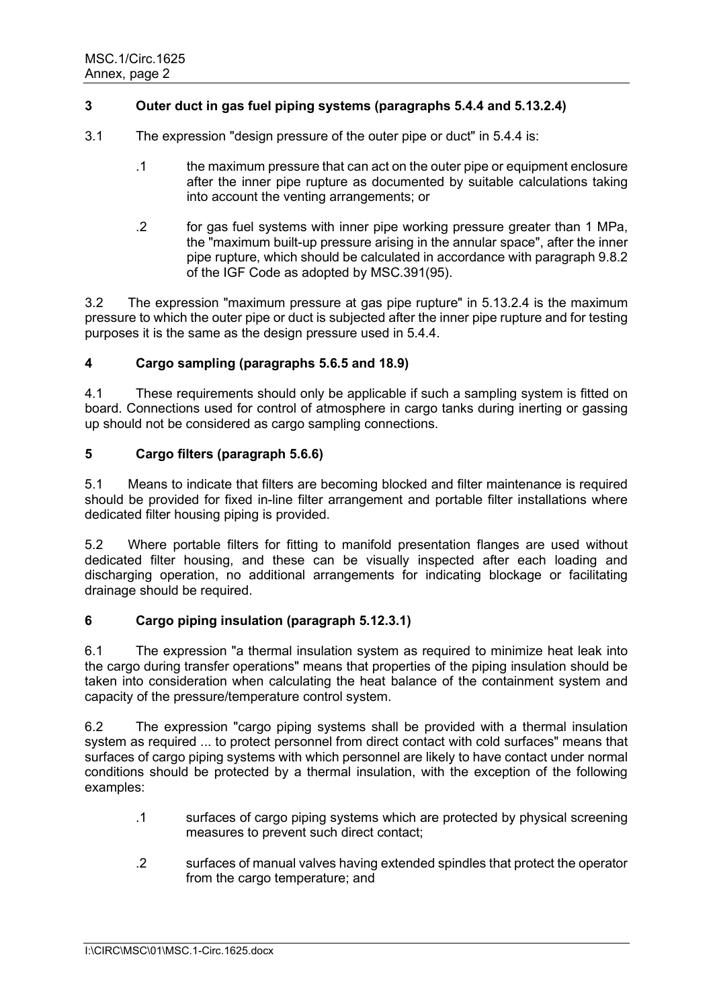# **3 Outer duct in gas fuel piping systems (paragraphs 5.4.4 and 5.13.2.4)**

- 3.1 The expression "design pressure of the outer pipe or duct" in 5.4.4 is:
	- .1 the maximum pressure that can act on the outer pipe or equipment enclosure after the inner pipe rupture as documented by suitable calculations taking into account the venting arrangements; or
	- .2 for gas fuel systems with inner pipe working pressure greater than 1 MPa, the "maximum built-up pressure arising in the annular space", after the inner pipe rupture, which should be calculated in accordance with paragraph 9.8.2 of the IGF Code as adopted by MSC.391(95).

3.2 The expression "maximum pressure at gas pipe rupture" in 5.13.2.4 is the maximum pressure to which the outer pipe or duct is subjected after the inner pipe rupture and for testing purposes it is the same as the design pressure used in 5.4.4.

# **4 Cargo sampling (paragraphs 5.6.5 and 18.9)**

4.1 These requirements should only be applicable if such a sampling system is fitted on board. Connections used for control of atmosphere in cargo tanks during inerting or gassing up should not be considered as cargo sampling connections.

# **5 Cargo filters (paragraph 5.6.6)**

5.1 Means to indicate that filters are becoming blocked and filter maintenance is required should be provided for fixed in-line filter arrangement and portable filter installations where dedicated filter housing piping is provided.

5.2 Where portable filters for fitting to manifold presentation flanges are used without dedicated filter housing, and these can be visually inspected after each loading and discharging operation, no additional arrangements for indicating blockage or facilitating drainage should be required.

# **6 Cargo piping insulation (paragraph 5.12.3.1)**

6.1 The expression "a thermal insulation system as required to minimize heat leak into the cargo during transfer operations" means that properties of the piping insulation should be taken into consideration when calculating the heat balance of the containment system and capacity of the pressure/temperature control system.

6.2 The expression "cargo piping systems shall be provided with a thermal insulation system as required ... to protect personnel from direct contact with cold surfaces" means that surfaces of cargo piping systems with which personnel are likely to have contact under normal conditions should be protected by a thermal insulation, with the exception of the following examples:

- .1 surfaces of cargo piping systems which are protected by physical screening measures to prevent such direct contact;
- .2 surfaces of manual valves having extended spindles that protect the operator from the cargo temperature; and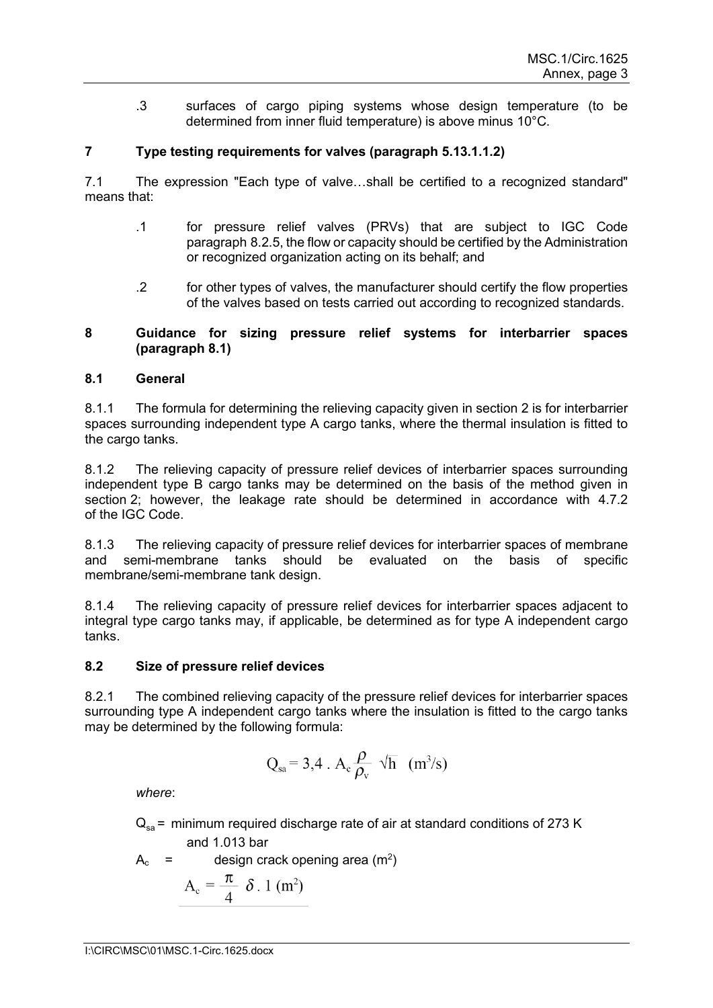.3 surfaces of cargo piping systems whose design temperature (to be determined from inner fluid temperature) is above minus 10°C.

# **7 Type testing requirements for valves (paragraph 5.13.1.1.2)**

7.1 The expression "Each type of valve…shall be certified to a recognized standard" means that:

- .1 for pressure relief valves (PRVs) that are subject to IGC Code paragraph 8.2.5, the flow or capacity should be certified by the Administration or recognized organization acting on its behalf; and
- .2 for other types of valves, the manufacturer should certify the flow properties of the valves based on tests carried out according to recognized standards.

# **8 Guidance for sizing pressure relief systems for interbarrier spaces (paragraph 8.1)**

# **8.1 General**

8.1.1 The formula for determining the relieving capacity given in section 2 is for interbarrier spaces surrounding independent type A cargo tanks, where the thermal insulation is fitted to the cargo tanks.

8.1.2 The relieving capacity of pressure relief devices of interbarrier spaces surrounding independent type B cargo tanks may be determined on the basis of the method given in section 2; however, the leakage rate should be determined in accordance with 4.7.2 of the IGC Code.

8.1.3 The relieving capacity of pressure relief devices for interbarrier spaces of membrane and semi-membrane tanks should be evaluated on the basis of specific membrane/semi-membrane tank design.

8.1.4 The relieving capacity of pressure relief devices for interbarrier spaces adjacent to integral type cargo tanks may, if applicable, be determined as for type A independent cargo tanks.

# **8.2 Size of pressure relief devices**

8.2.1 The combined relieving capacity of the pressure relief devices for interbarrier spaces surrounding type A independent cargo tanks where the insulation is fitted to the cargo tanks may be determined by the following formula:

$$
Q_{sa} = 3.4 \cdot A_c \frac{\rho}{\rho_v} \sqrt{h} \ (m^3/s)
$$

*where*:

 $Q_{\text{ss}}$  = minimum required discharge rate of air at standard conditions of 273 K

and 1.013 bar

 $A_c$  = design crack opening area (m<sup>2</sup>)  $A_c = \frac{\pi}{4} \delta$ . 1 (m<sup>2</sup>)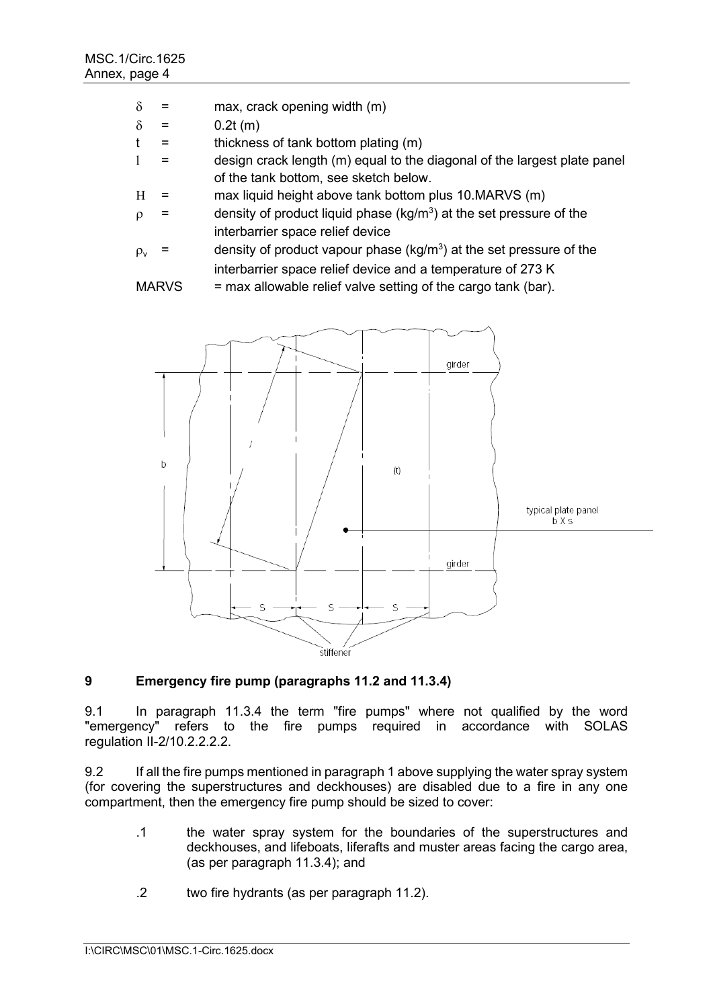- $\delta$  = max, crack opening width (m)
- $δ = 0.2t (m)$
- $t =$  thickness of tank bottom plating  $(m)$
- $l =$  design crack length  $(m)$  equal to the diagonal of the largest plate panel of the tank bottom, see sketch below.
- $H =$  max liquid height above tank bottom plus 10.MARVS (m)
- $\rho$  = density of product liquid phase (kg/m<sup>3</sup>) at the set pressure of the interbarrier space relief device
- $\rho_{\rm v}$  = density of product vapour phase (kg/m $^3$ ) at the set pressure of the interbarrier space relief device and a temperature of 273 K

```
MARVS = max allowable relief valve setting of the cargo tank (bar).
```


# **9 Emergency fire pump (paragraphs 11.2 and 11.3.4)**

9.1 In paragraph 11.3.4 the term "fire pumps" where not qualified by the word "emergency" refers to the fire pumps required in accordance with SOLAS regulation II-2/10.2.2.2.2.

9.2 If all the fire pumps mentioned in paragraph 1 above supplying the water spray system (for covering the superstructures and deckhouses) are disabled due to a fire in any one compartment, then the emergency fire pump should be sized to cover:

- .1 the water spray system for the boundaries of the superstructures and deckhouses, and lifeboats, liferafts and muster areas facing the cargo area, (as per paragraph 11.3.4); and
- .2 two fire hydrants (as per paragraph 11.2).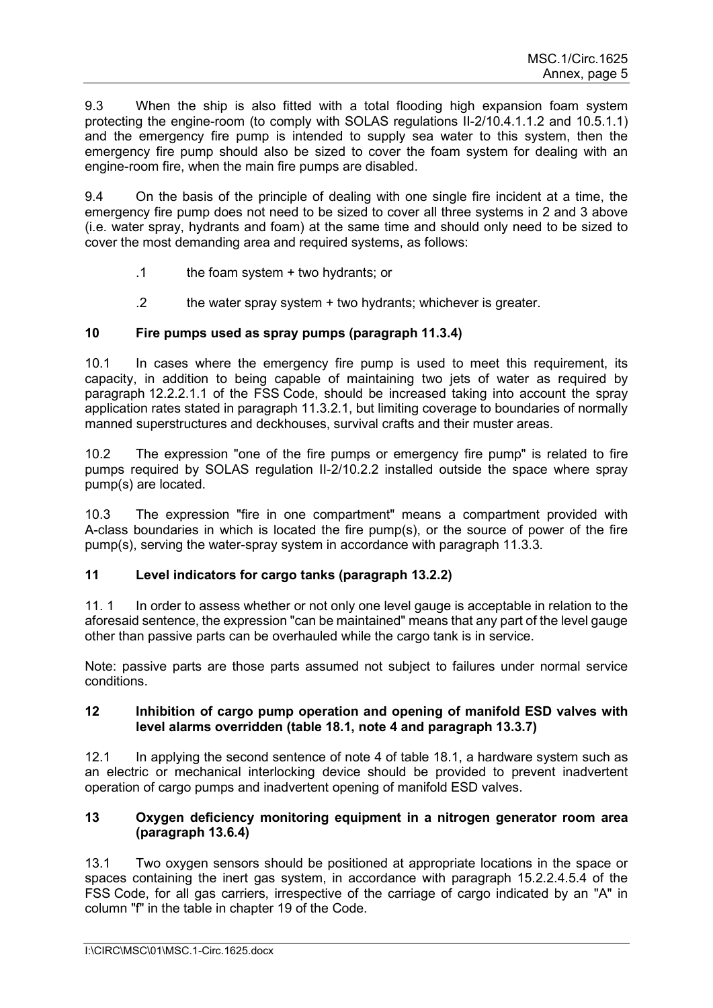9.3 When the ship is also fitted with a total flooding high expansion foam system protecting the engine-room (to comply with SOLAS regulations II-2/10.4.1.1.2 and 10.5.1.1) and the emergency fire pump is intended to supply sea water to this system, then the emergency fire pump should also be sized to cover the foam system for dealing with an engine-room fire, when the main fire pumps are disabled.

9.4 On the basis of the principle of dealing with one single fire incident at a time, the emergency fire pump does not need to be sized to cover all three systems in 2 and 3 above (i.e. water spray, hydrants and foam) at the same time and should only need to be sized to cover the most demanding area and required systems, as follows:

- .1 the foam system + two hydrants; or
- .2 the water spray system + two hydrants; whichever is greater.

# **10 Fire pumps used as spray pumps (paragraph 11.3.4)**

10.1 In cases where the emergency fire pump is used to meet this requirement, its capacity, in addition to being capable of maintaining two jets of water as required by paragraph 12.2.2.1.1 of the FSS Code, should be increased taking into account the spray application rates stated in paragraph 11.3.2.1, but limiting coverage to boundaries of normally manned superstructures and deckhouses, survival crafts and their muster areas.

10.2 The expression "one of the fire pumps or emergency fire pump" is related to fire pumps required by SOLAS regulation II-2/10.2.2 installed outside the space where spray pump(s) are located.

10.3 The expression "fire in one compartment" means a compartment provided with A-class boundaries in which is located the fire pump(s), or the source of power of the fire pump(s), serving the water-spray system in accordance with paragraph 11.3.3.

# **11 Level indicators for cargo tanks (paragraph 13.2.2)**

11. 1 In order to assess whether or not only one level gauge is acceptable in relation to the aforesaid sentence, the expression "can be maintained" means that any part of the level gauge other than passive parts can be overhauled while the cargo tank is in service.

Note: passive parts are those parts assumed not subject to failures under normal service conditions.

# **12 Inhibition of cargo pump operation and opening of manifold ESD valves with level alarms overridden (table 18.1, note 4 and paragraph 13.3.7)**

12.1 In applying the second sentence of note 4 of table 18.1, a hardware system such as an electric or mechanical interlocking device should be provided to prevent inadvertent operation of cargo pumps and inadvertent opening of manifold ESD valves.

# **13 Oxygen deficiency monitoring equipment in a nitrogen generator room area (paragraph 13.6.4)**

13.1 Two oxygen sensors should be positioned at appropriate locations in the space or spaces containing the inert gas system, in accordance with paragraph 15.2.2.4.5.4 of the FSS Code, for all gas carriers, irrespective of the carriage of cargo indicated by an "A" in column "f" in the table in chapter 19 of the Code.